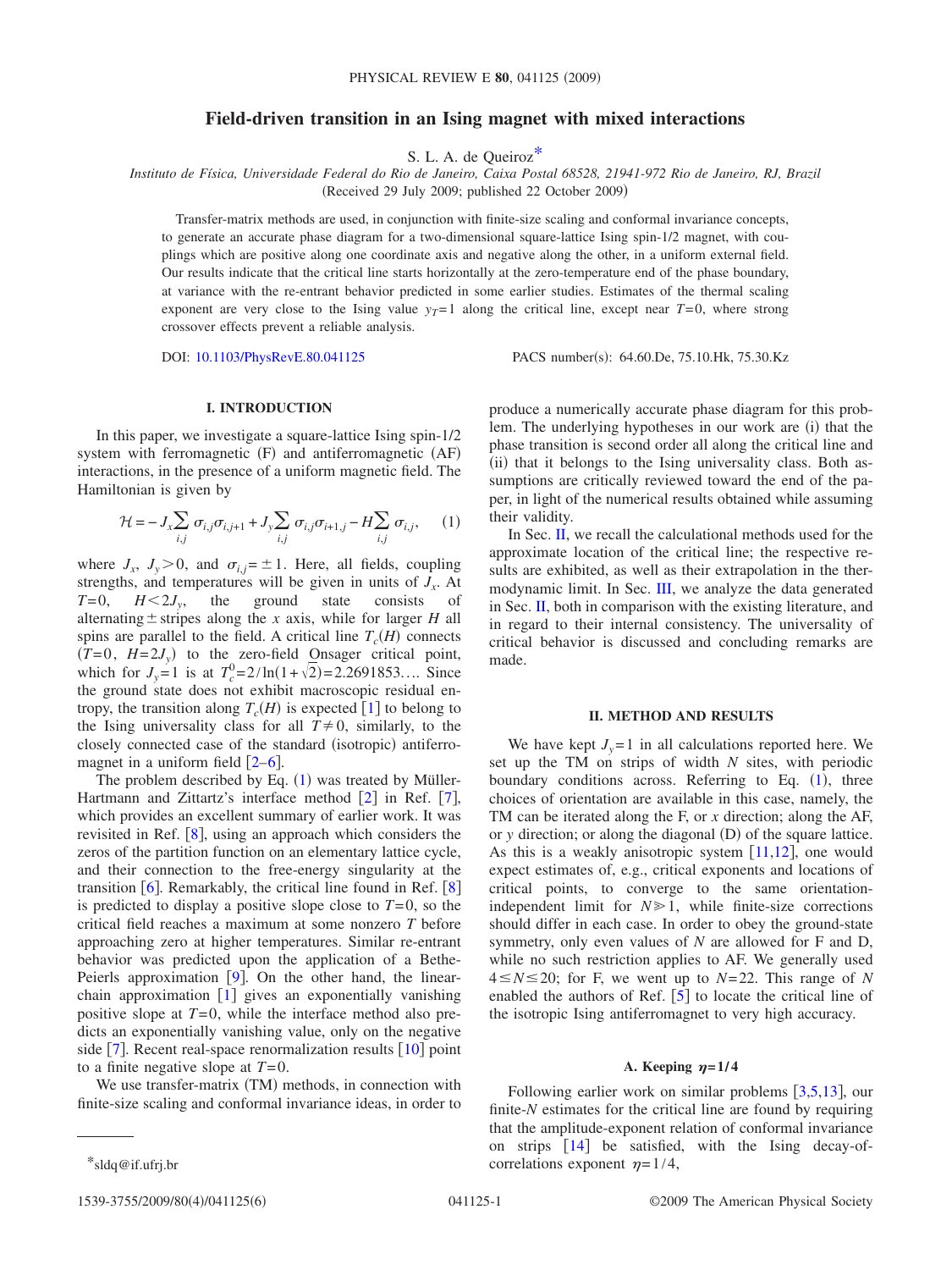# **Field-driven transition in an Ising magnet with mixed interactions**

S. L. A. de Queiro[z\\*](#page-0-0)

*Instituto de Física, Universidade Federal do Rio de Janeiro, Caixa Postal 68528, 21941-972 Rio de Janeiro, RJ, Brazil*

(Received 29 July 2009; published 22 October 2009)

Transfer-matrix methods are used, in conjunction with finite-size scaling and conformal invariance concepts, to generate an accurate phase diagram for a two-dimensional square-lattice Ising spin-1/2 magnet, with couplings which are positive along one coordinate axis and negative along the other, in a uniform external field. Our results indicate that the critical line starts horizontally at the zero-temperature end of the phase boundary, at variance with the re-entrant behavior predicted in some earlier studies. Estimates of the thermal scaling exponent are very close to the Ising value  $y_T=1$  along the critical line, except near  $T=0$ , where strong crossover effects prevent a reliable analysis.

DOI: [10.1103/PhysRevE.80.041125](http://dx.doi.org/10.1103/PhysRevE.80.041125)

PACS number(s): 64.60.De, 75.10.Hk, 75.30.Kz

## **I. INTRODUCTION**

In this paper, we investigate a square-lattice Ising spin-1/2 system with ferromagnetic  $(F)$  and antiferromagnetic  $(AF)$ interactions, in the presence of a uniform magnetic field. The Hamiltonian is given by

<span id="page-0-1"></span>
$$
\mathcal{H} = -J_x \sum_{i,j} \sigma_{i,j} \sigma_{i,j+1} + J_y \sum_{i,j} \sigma_{i,j} \sigma_{i+1,j} - H \sum_{i,j} \sigma_{i,j}, \qquad (1)
$$

where  $J_x$ ,  $J_y > 0$ , and  $\sigma_{i,j} = \pm 1$ . Here, all fields, coupling strengths, and temperatures will be given in units of  $J<sub>x</sub>$ . At  $T=0$ ,  $H<2J_y$ , the ground state consists of alternating  $\pm$  stripes along the *x* axis, while for larger *H* all spins are parallel to the field. A critical line  $T_c(H)$  connects  $(T=0, H=2J_y)$  to the zero-field Onsager critical point, which for  $J_y = 1$  is at  $T_c^0 = 2/\ln(1 + \sqrt{2}) = 2.2691853...$  Since the ground state does not exhibit macroscopic residual entropy, the transition along  $T_c(H)$  is expected [[1](#page-5-0)] to belong to the Ising universality class for all  $T \neq 0$ , similarly, to the closely connected case of the standard (isotropic) antiferromagnet in a uniform field  $\lceil 2-6 \rceil$  $\lceil 2-6 \rceil$  $\lceil 2-6 \rceil$ .

The problem described by Eq.  $(1)$  $(1)$  $(1)$  was treated by Müller-Hartmann and Zittartz's interface method  $[2]$  $[2]$  $[2]$  in Ref.  $[7]$  $[7]$  $[7]$ , which provides an excellent summary of earlier work. It was revisited in Ref.  $[8]$  $[8]$  $[8]$ , using an approach which considers the zeros of the partition function on an elementary lattice cycle, and their connection to the free-energy singularity at the transition  $\lceil 6 \rceil$  $\lceil 6 \rceil$  $\lceil 6 \rceil$ . Remarkably, the critical line found in Ref.  $\lceil 8 \rceil$  $\lceil 8 \rceil$  $\lceil 8 \rceil$ is predicted to display a positive slope close to  $T=0$ , so the critical field reaches a maximum at some nonzero *T* before approaching zero at higher temperatures. Similar re-entrant behavior was predicted upon the application of a Bethe-Peierls approximation  $[9]$  $[9]$  $[9]$ . On the other hand, the linearchain approximation  $\begin{bmatrix} 1 \end{bmatrix}$  $\begin{bmatrix} 1 \end{bmatrix}$  $\begin{bmatrix} 1 \end{bmatrix}$  gives an exponentially vanishing positive slope at  $T=0$ , while the interface method also predicts an exponentially vanishing value, only on the negative side  $\lceil 7 \rceil$  $\lceil 7 \rceil$  $\lceil 7 \rceil$ . Recent real-space renormalization results  $\lceil 10 \rceil$  $\lceil 10 \rceil$  $\lceil 10 \rceil$  point to a finite negative slope at *T*=0.

We use transfer-matrix (TM) methods, in connection with finite-size scaling and conformal invariance ideas, in order to produce a numerically accurate phase diagram for this problem. The underlying hypotheses in our work are (i) that the phase transition is second order all along the critical line and (ii) that it belongs to the Ising universality class. Both assumptions are critically reviewed toward the end of the paper, in light of the numerical results obtained while assuming their validity.

In Sec. [II,](#page-0-2) we recall the calculational methods used for the approximate location of the critical line; the respective results are exhibited, as well as their extrapolation in the thermodynamic limit. In Sec. [III,](#page-3-0) we analyze the data generated in Sec. [II,](#page-0-2) both in comparison with the existing literature, and in regard to their internal consistency. The universality of critical behavior is discussed and concluding remarks are made.

### **II. METHOD AND RESULTS**

<span id="page-0-2"></span>We have kept  $J_v = 1$  in all calculations reported here. We set up the TM on strips of width *N* sites, with periodic boundary conditions across. Referring to Eq. ([1](#page-0-1)), three choices of orientation are available in this case, namely, the TM can be iterated along the F, or *x* direction; along the AF, or *y* direction; or along the diagonal (D) of the square lattice. As this is a weakly anisotropic system  $[11,12]$  $[11,12]$  $[11,12]$  $[11,12]$ , one would expect estimates of, e.g., critical exponents and locations of critical points, to converge to the same orientationindependent limit for  $N \geq 1$ , while finite-size corrections should differ in each case. In order to obey the ground-state symmetry, only even values of *N* are allowed for F and D, while no such restriction applies to AF. We generally used  $4 \leq N \leq 20$ ; for F, we went up to  $N=22$ . This range of N enabled the authors of Ref.  $\lceil 5 \rceil$  $\lceil 5 \rceil$  $\lceil 5 \rceil$  to locate the critical line of the isotropic Ising antiferromagnet to very high accuracy.

# A. Keeping  $\eta = 1/4$

Following earlier work on similar problems  $[3,5,13]$  $[3,5,13]$  $[3,5,13]$  $[3,5,13]$  $[3,5,13]$ , our finite-*N* estimates for the critical line are found by requiring that the amplitude-exponent relation of conformal invariance on strips  $\begin{bmatrix} 14 \end{bmatrix}$  $\begin{bmatrix} 14 \end{bmatrix}$  $\begin{bmatrix} 14 \end{bmatrix}$  be satisfied, with the Ising decay-of-\*sldq@if.ufrj.br correlations exponent  $\eta = 1/4$ ,

<span id="page-0-0"></span>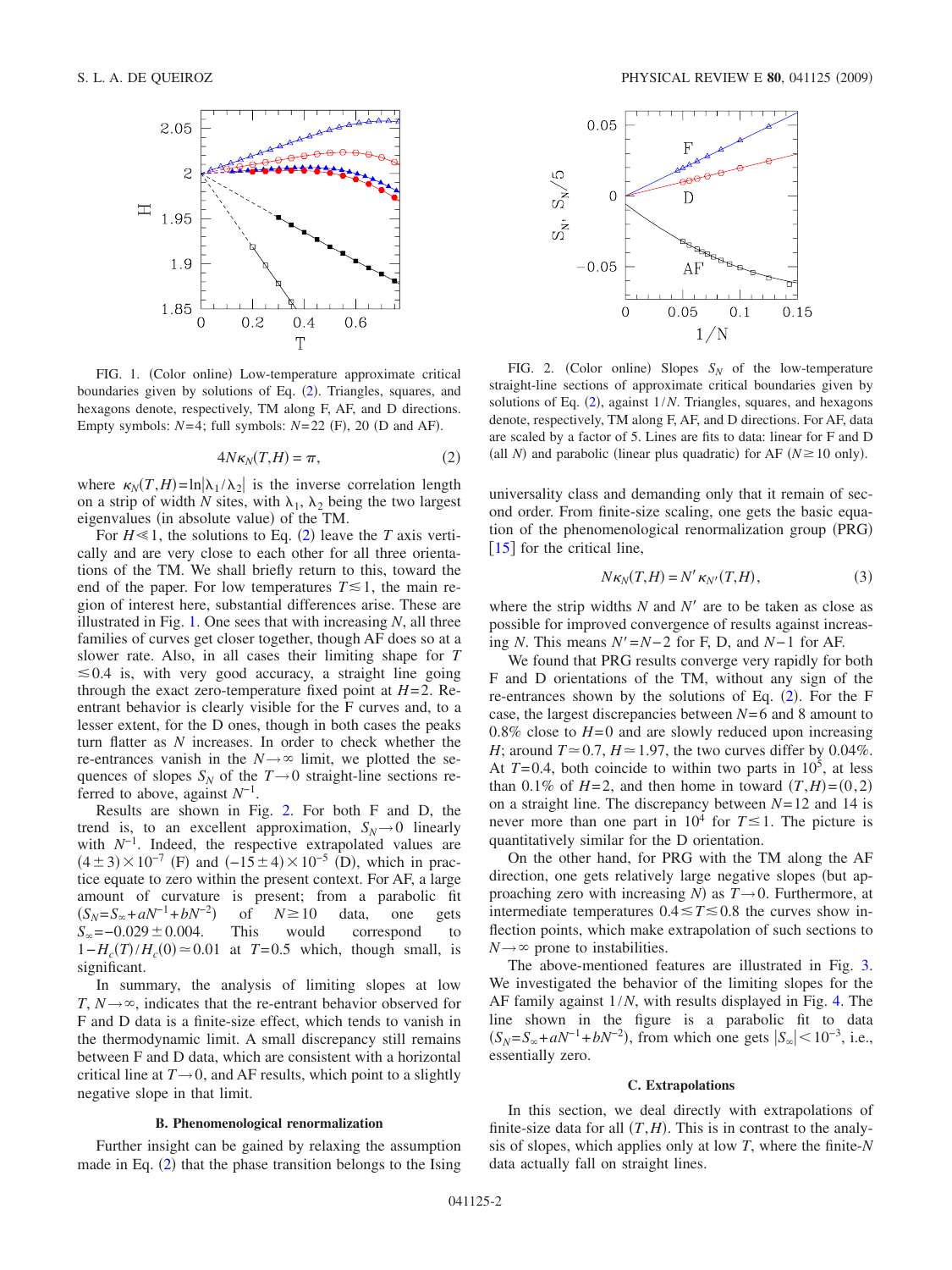<span id="page-1-1"></span>

FIG. 1. (Color online) Low-temperature approximate critical boundaries given by solutions of Eq. ([2](#page-1-0)). Triangles, squares, and hexagons denote, respectively, TM along F, AF, and D directions. Empty symbols:  $N=4$ ; full symbols:  $N=22$  (F), 20 (D and AF).

$$
4N\kappa_N(T,H) = \pi,\tag{2}
$$

<span id="page-1-0"></span>where  $\kappa_N(T,H) = \ln|\lambda_1/\lambda_2|$  is the inverse correlation length on a strip of width *N* sites, with  $\lambda_1$ ,  $\lambda_2$  being the two largest eigenvalues (in absolute value) of the TM.

For  $H \le 1$ , the solutions to Eq. ([2](#page-1-0)) leave the *T* axis vertically and are very close to each other for all three orientations of the TM. We shall briefly return to this, toward the end of the paper. For low temperatures  $T \lesssim 1$ , the main region of interest here, substantial differences arise. These are illustrated in Fig. [1.](#page-1-1) One sees that with increasing *N*, all three families of curves get closer together, though AF does so at a slower rate. Also, in all cases their limiting shape for *T*  $\leq 0.4$  is, with very good accuracy, a straight line going through the exact zero-temperature fixed point at  $H=2$ . Reentrant behavior is clearly visible for the F curves and, to a lesser extent, for the D ones, though in both cases the peaks turn flatter as *N* increases. In order to check whether the re-entrances vanish in the  $N \rightarrow \infty$  limit, we plotted the sequences of slopes  $S_N$  of the  $T\rightarrow 0$  straight-line sections referred to above, against *N*−1.

Results are shown in Fig. [2.](#page-1-2) For both F and D, the trend is, to an excellent approximation,  $S_N \rightarrow 0$  linearly with *N*−1. Indeed, the respective extrapolated values are  $(4 \pm 3) \times 10^{-7}$  (F) and  $(-15 \pm 4) \times 10^{-5}$  (D), which in practice equate to zero within the present context. For AF, a large amount of curvature is present; from a parabolic fit  $(S_N = S_{\infty} + aN^{-1} + bN^{-2})$ of  $N \ge 10$  data, one gets  $S_{\infty} = -0.029 \pm 0.004$ . This would correspond to  $1 - H_c(T) / H_c(0) \approx 0.01$  at  $T = 0.5$  which, though small, is significant.

In summary, the analysis of limiting slopes at low *T*,  $N \rightarrow \infty$ , indicates that the re-entrant behavior observed for F and D data is a finite-size effect, which tends to vanish in the thermodynamic limit. A small discrepancy still remains between F and D data, which are consistent with a horizontal critical line at  $T \rightarrow 0$ , and AF results, which point to a slightly negative slope in that limit.

#### **B. Phenomenological renormalization**

Further insight can be gained by relaxing the assumption made in Eq.  $(2)$  $(2)$  $(2)$  that the phase transition belongs to the Ising

<span id="page-1-2"></span>

FIG. 2. (Color online) Slopes  $S_N$  of the low-temperature straight-line sections of approximate critical boundaries given by solutions of Eq. ([2](#page-1-0)), against  $1/N$ . Triangles, squares, and hexagons denote, respectively, TM along F, AF, and D directions. For AF, data are scaled by a factor of 5. Lines are fits to data: linear for F and D (all *N*) and parabolic (linear plus quadratic) for AF  $(N \ge 10$  only).

universality class and demanding only that it remain of second order. From finite-size scaling, one gets the basic equation of the phenomenological renormalization group (PRG)  $\lceil 15 \rceil$  $\lceil 15 \rceil$  $\lceil 15 \rceil$  for the critical line,

$$
N\kappa_N(T,H) = N'\kappa_{N'}(T,H),\tag{3}
$$

<span id="page-1-3"></span>where the strip widths  $N$  and  $N'$  are to be taken as close as possible for improved convergence of results against increasing *N*. This means  $N' = N - 2$  for F, D, and  $N - 1$  for AF.

We found that PRG results converge very rapidly for both F and D orientations of the TM, without any sign of the re-entrances shown by the solutions of Eq.  $(2)$  $(2)$  $(2)$ . For the F case, the largest discrepancies between *N*= 6 and 8 amount to 0.8% close to  $H=0$  and are slowly reduced upon increasing *H*; around  $T \approx 0.7$ ,  $H \approx 1.97$ , the two curves differ by 0.04%. At  $T=0.4$ , both coincide to within two parts in  $10^5$ , at less than 0.1% of  $H=2$ , and then home in toward  $(T,H)=(0,2)$ on a straight line. The discrepancy between *N*= 12 and 14 is never more than one part in  $10^4$  for  $T \le 1$ . The picture is quantitatively similar for the D orientation.

On the other hand, for PRG with the TM along the AF direction, one gets relatively large negative slopes (but approaching zero with increasing *N*) as  $T \rightarrow 0$ . Furthermore, at intermediate temperatures  $0.4 \le T \le 0.8$  the curves show inflection points, which make extrapolation of such sections to  $N \rightarrow \infty$  prone to instabilities.

The above-mentioned features are illustrated in Fig. [3.](#page-2-0) We investigated the behavior of the limiting slopes for the AF family against 1/*N*, with results displayed in Fig. [4.](#page-2-1) The line shown in the figure is a parabolic fit to data  $(S_N = S_\infty + aN^{-1} + bN^{-2})$ , from which one gets  $|S_\infty| < 10^{-3}$ , i.e., essentially zero.

### **C. Extrapolations**

<span id="page-1-4"></span>In this section, we deal directly with extrapolations of finite-size data for all  $(T, H)$ . This is in contrast to the analysis of slopes, which applies only at low *T*, where the finite-*N* data actually fall on straight lines.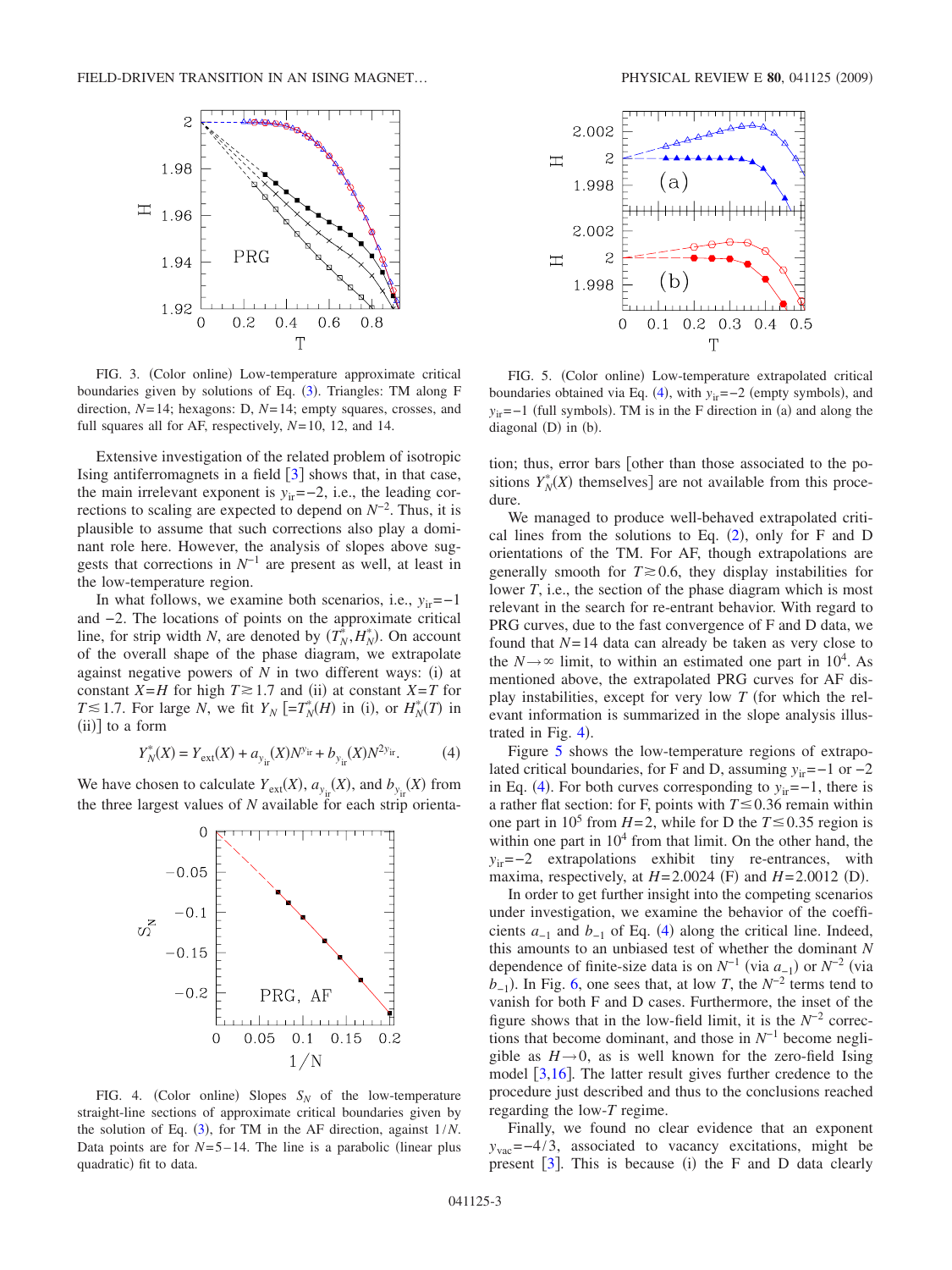<span id="page-2-0"></span>

FIG. 3. (Color online) Low-temperature approximate critical boundaries given by solutions of Eq. ([3](#page-1-3)). Triangles: TM along F direction, *N*= 14; hexagons: D, *N*= 14; empty squares, crosses, and full squares all for AF, respectively, *N*= 10, 12, and 14.

Extensive investigation of the related problem of isotropic Ising antiferromagnets in a field  $\lceil 3 \rceil$  $\lceil 3 \rceil$  $\lceil 3 \rceil$  shows that, in that case, the main irrelevant exponent is  $y_{ir}=-2$ , i.e., the leading corrections to scaling are expected to depend on *N*−2. Thus, it is plausible to assume that such corrections also play a dominant role here. However, the analysis of slopes above suggests that corrections in *N*−1 are present as well, at least in the low-temperature region.

In what follows, we examine both scenarios, i.e., *y*ir=−1 and −2. The locations of points on the approximate critical line, for strip width *N*, are denoted by  $(T_N^*, H_N^*)$ . On account of the overall shape of the phase diagram, we extrapolate against negative powers of  $N$  in two different ways: (i) at constant *X*=*H* for high  $T \ge 1.7$  and (ii) at constant *X*=*T* for *T*  $\leq$  1.7. For large *N*, we fit *Y<sub>N</sub>* [=*T<sub>N</sub>*<sup>\*</sup>(*H*) in (i), or *H<sub>N</sub>*<sup>\*</sup>(*T*) in  $(ii)$ ] to a form

$$
Y_N^*(X) = Y_{\text{ext}}(X) + a_{y_{\text{ir}}} (X) N^{y_{\text{ir}}} + b_{y_{\text{ir}}} (X) N^{2y_{\text{ir}}}.
$$
 (4)

<span id="page-2-3"></span><span id="page-2-1"></span>We have chosen to calculate  $Y_{\text{ext}}(X)$ ,  $a_{y_{\text{ir}}}(X)$ , and  $b_{y_{\text{ir}}}(X)$  from the three largest values of *N* available for each strip orienta-



FIG. 4. (Color online) Slopes  $S_N$  of the low-temperature straight-line sections of approximate critical boundaries given by the solution of Eq.  $(3)$  $(3)$  $(3)$ , for TM in the AF direction, against  $1/N$ . Data points are for  $N=5-14$ . The line is a parabolic (linear plus quadratic) fit to data.

<span id="page-2-2"></span>

FIG. 5. (Color online) Low-temperature extrapolated critical boundaries obtained via Eq. ([4](#page-2-3)), with  $y_{ir} = -2$  (empty symbols), and  $y_{ir} = -1$  (full symbols). TM is in the F direction in (a) and along the diagonal (D) in (b).

tion; thus, error bars [other than those associated to the positions  $Y_N^*(X)$  themselves] are not available from this procedure.

We managed to produce well-behaved extrapolated critical lines from the solutions to Eq.  $(2)$  $(2)$  $(2)$ , only for F and D orientations of the TM. For AF, though extrapolations are generally smooth for  $T \ge 0.6$ , they display instabilities for lower *T*, i.e., the section of the phase diagram which is most relevant in the search for re-entrant behavior. With regard to PRG curves, due to the fast convergence of F and D data, we found that *N*= 14 data can already be taken as very close to the  $N \rightarrow \infty$  limit, to within an estimated one part in  $10^4$ . As mentioned above, the extrapolated PRG curves for AF display instabilities, except for very low  $T$  (for which the relevant information is summarized in the slope analysis illustrated in Fig.  $4$ ).

Figure [5](#page-2-2) shows the low-temperature regions of extrapolated critical boundaries, for F and D, assuming *y*<sub>ir</sub>=−1 or −2 in Eq. ([4](#page-2-3)). For both curves corresponding to  $y_{ir} = -1$ , there is a rather flat section: for F, points with  $T \le 0.36$  remain within one part in 10<sup>5</sup> from  $H=2$ , while for D the  $T \le 0.35$  region is within one part in  $10<sup>4</sup>$  from that limit. On the other hand, the *y*<sub>ir</sub>=−2 extrapolations exhibit tiny re-entrances, with maxima, respectively, at  $H = 2.0024$  (F) and  $H = 2.0012$  (D).

In order to get further insight into the competing scenarios under investigation, we examine the behavior of the coefficients  $a_{-1}$  and  $b_{-1}$  of Eq. ([4](#page-2-3)) along the critical line. Indeed, this amounts to an unbiased test of whether the dominant *N* dependence of finite-size data is on  $N^{-1}$  (via  $a_{-1}$ ) or  $N^{-2}$  (via  $b_{-1}$ ). In Fig. [6,](#page-3-1) one sees that, at low *T*, the  $N^{-2}$  terms tend to vanish for both F and D cases. Furthermore, the inset of the figure shows that in the low-field limit, it is the  $N^{-2}$  corrections that become dominant, and those in *N*−1 become negligible as  $H\rightarrow 0$ , as is well known for the zero-field Ising model  $\left[3,16\right]$  $\left[3,16\right]$  $\left[3,16\right]$  $\left[3,16\right]$ . The latter result gives further credence to the procedure just described and thus to the conclusions reached regarding the low-*T* regime.

Finally, we found no clear evidence that an exponent *y*<sub>vac</sub>=−4/3, associated to vacancy excitations, might be present  $\left[3\right]$  $\left[3\right]$  $\left[3\right]$ . This is because (i) the F and D data clearly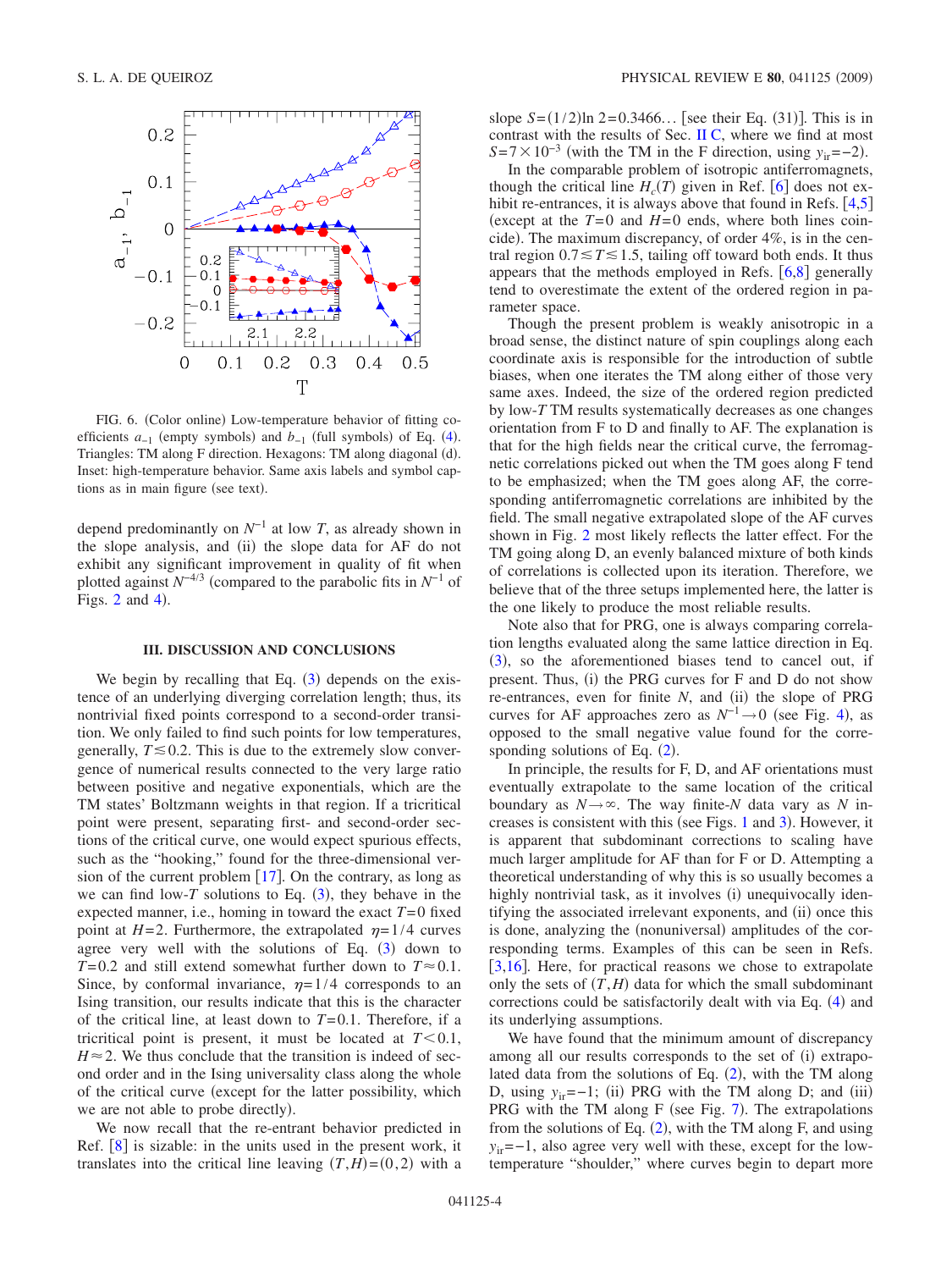<span id="page-3-1"></span>

FIG. 6. (Color online) Low-temperature behavior of fitting coefficients  $a_{-1}$  (empty symbols) and  $b_{-1}$  (full symbols) of Eq. ([4](#page-2-3)). Triangles: TM along F direction. Hexagons: TM along diagonal (d). Inset: high-temperature behavior. Same axis labels and symbol captions as in main figure (see text).

depend predominantly on *N*−1 at low *T*, as already shown in the slope analysis, and (ii) the slope data for AF do not exhibit any significant improvement in quality of fit when plotted against  $N^{-4/3}$  (compared to the parabolic fits in  $N^{-1}$  of Figs.  $2$  and  $4$ ).

## **III. DISCUSSION AND CONCLUSIONS**

<span id="page-3-0"></span>We begin by recalling that Eq.  $(3)$  $(3)$  $(3)$  depends on the existence of an underlying diverging correlation length; thus, its nontrivial fixed points correspond to a second-order transition. We only failed to find such points for low temperatures, generally,  $T \leq 0.2$ . This is due to the extremely slow convergence of numerical results connected to the very large ratio between positive and negative exponentials, which are the TM states' Boltzmann weights in that region. If a tricritical point were present, separating first- and second-order sections of the critical curve, one would expect spurious effects, such as the "hooking," found for the three-dimensional version of the current problem  $[17]$  $[17]$  $[17]$ . On the contrary, as long as we can find low- $T$  solutions to Eq.  $(3)$  $(3)$  $(3)$ , they behave in the expected manner, i.e., homing in toward the exact  $T=0$  fixed point at  $H=2$ . Furthermore, the extrapolated  $\eta = 1/4$  curves agree very well with the solutions of Eq. ([3](#page-1-3)) down to  $T=0.2$  and still extend somewhat further down to  $T \approx 0.1$ . Since, by conformal invariance,  $\eta = 1/4$  corresponds to an Ising transition, our results indicate that this is the character of the critical line, at least down to  $T=0.1$ . Therefore, if a tricritical point is present, it must be located at  $T < 0.1$ ,  $H \approx 2$ . We thus conclude that the transition is indeed of second order and in the Ising universality class along the whole of the critical curve (except for the latter possibility, which we are not able to probe directly).

We now recall that the re-entrant behavior predicted in Ref.  $\lceil 8 \rceil$  $\lceil 8 \rceil$  $\lceil 8 \rceil$  is sizable: in the units used in the present work, it translates into the critical line leaving  $(T, H) = (0, 2)$  with a

slope  $S = (1/2) \ln 2 = 0.3466...$  [see their Eq. (31)]. This is in contrast with the results of Sec. [II C,](#page-1-4) where we find at most  $S = 7 \times 10^{-3}$  (with the TM in the F direction, using *y*<sub>ir</sub>=−2).

In the comparable problem of isotropic antiferromagnets, though the critical line  $H_c(T)$  given in Ref. [[6](#page-5-2)] does not exhibit re-entrances, it is always above that found in Refs.  $[4,5]$  $[4,5]$  $[4,5]$  $[4,5]$ (except at the  $T=0$  and  $H=0$  ends, where both lines coincide). The maximum discrepancy, of order 4%, is in the central region  $0.7 \le T \le 1.5$ , tailing off toward both ends. It thus appears that the methods employed in Refs.  $[6,8]$  $[6,8]$  $[6,8]$  $[6,8]$  generally tend to overestimate the extent of the ordered region in parameter space.

Though the present problem is weakly anisotropic in a broad sense, the distinct nature of spin couplings along each coordinate axis is responsible for the introduction of subtle biases, when one iterates the TM along either of those very same axes. Indeed, the size of the ordered region predicted by low-*T* TM results systematically decreases as one changes orientation from F to D and finally to AF. The explanation is that for the high fields near the critical curve, the ferromagnetic correlations picked out when the TM goes along F tend to be emphasized; when the TM goes along AF, the corresponding antiferromagnetic correlations are inhibited by the field. The small negative extrapolated slope of the AF curves shown in Fig. [2](#page-1-2) most likely reflects the latter effect. For the TM going along D, an evenly balanced mixture of both kinds of correlations is collected upon its iteration. Therefore, we believe that of the three setups implemented here, the latter is the one likely to produce the most reliable results.

Note also that for PRG, one is always comparing correlation lengths evaluated along the same lattice direction in Eq.  $(3)$  $(3)$  $(3)$ , so the aforementioned biases tend to cancel out, if present. Thus, (i) the PRG curves for F and D do not show re-entrances, even for finite N, and (ii) the slope of PRG curves for AF approaches zero as  $N^{-1} \rightarrow 0$  (see Fig. [4](#page-2-1)), as opposed to the small negative value found for the corresponding solutions of Eq.  $(2)$  $(2)$  $(2)$ .

In principle, the results for F, D, and AF orientations must eventually extrapolate to the same location of the critical boundary as  $N \rightarrow \infty$ . The way finite-*N* data vary as *N* in-creases is consistent with this (see Figs. [1](#page-1-1) and [3](#page-2-0)). However, it is apparent that subdominant corrections to scaling have much larger amplitude for AF than for F or D. Attempting a theoretical understanding of why this is so usually becomes a highly nontrivial task, as it involves (i) unequivocally identifying the associated irrelevant exponents, and (ii) once this is done, analyzing the (nonuniversal) amplitudes of the corresponding terms. Examples of this can be seen in Refs.  $[3,16]$  $[3,16]$  $[3,16]$  $[3,16]$ . Here, for practical reasons we chose to extrapolate only the sets of  $(T, H)$  data for which the small subdominant corrections could be satisfactorily dealt with via Eq. ([4](#page-2-3)) and its underlying assumptions.

We have found that the minimum amount of discrepancy among all our results corresponds to the set of (i) extrapolated data from the solutions of Eq.  $(2)$  $(2)$  $(2)$ , with the TM along D, using  $y_{ir} = -1$ ; (ii) PRG with the TM along D; and (iii) PRG with the TM along  $F$  (see Fig. [7](#page-4-0)). The extrapolations from the solutions of Eq.  $(2)$  $(2)$  $(2)$ , with the TM along F, and using *y*<sub>ir</sub>=−1, also agree very well with these, except for the lowtemperature "shoulder," where curves begin to depart more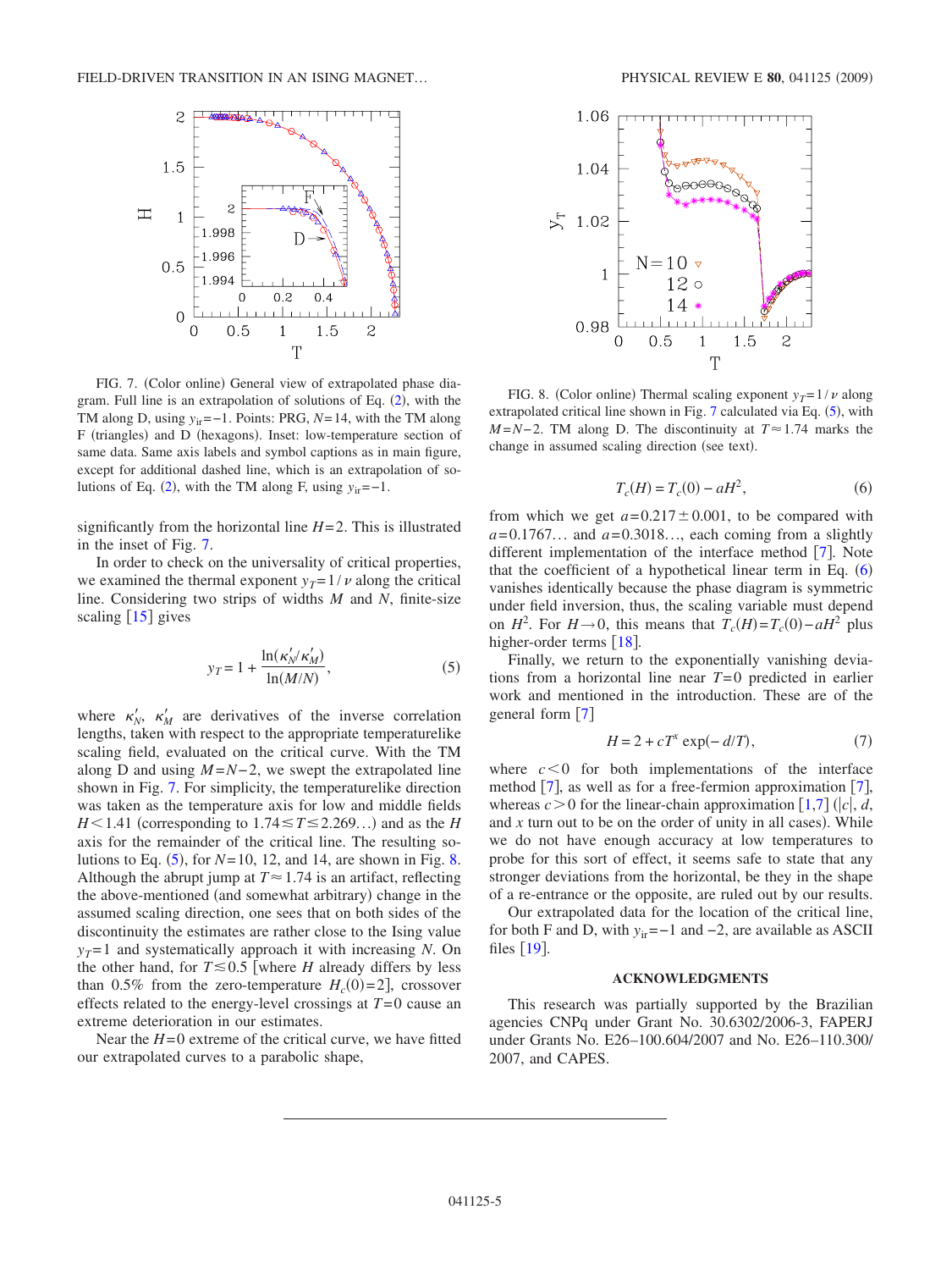<span id="page-4-0"></span>

FIG. 7. (Color online) General view of extrapolated phase dia-gram. Full line is an extrapolation of solutions of Eq. ([2](#page-1-0)), with the TM along D, using *y*<sub>ir</sub>=−1. Points: PRG, *N*=14, with the TM along F (triangles) and D (hexagons). Inset: low-temperature section of same data. Same axis labels and symbol captions as in main figure, except for additional dashed line, which is an extrapolation of so-lutions of Eq. ([2](#page-1-0)), with the TM along F, using  $y_{ir} = -1$ .

significantly from the horizontal line  $H=2$ . This is illustrated in the inset of Fig. [7.](#page-4-0)

In order to check on the universality of critical properties, we examined the thermal exponent  $y_T = 1/v$  along the critical line. Considering two strips of widths *M* and *N*, finite-size scaling  $[15]$  $[15]$  $[15]$  gives

$$
y_T = 1 + \frac{\ln(\kappa_N'/\kappa_M')}{\ln(M/N)},
$$
\n(5)

<span id="page-4-1"></span>where  $\kappa'_{N}$ ,  $\kappa'_{M}$  are derivatives of the inverse correlation lengths, taken with respect to the appropriate temperaturelike scaling field, evaluated on the critical curve. With the TM along D and using  $M = N - 2$ , we swept the extrapolated line shown in Fig. [7.](#page-4-0) For simplicity, the temperaturelike direction was taken as the temperature axis for low and middle fields  $H$ <1.41 (corresponding to 1.74  $\leq$  *T* $\leq$  2.269...) and as the *H* axis for the remainder of the critical line. The resulting solutions to Eq.  $(5)$  $(5)$  $(5)$ , for  $N=10$ , 12, and 14, are shown in Fig. [8.](#page-4-2) Although the abrupt jump at  $T \approx 1.74$  is an artifact, reflecting the above-mentioned (and somewhat arbitrary) change in the assumed scaling direction, one sees that on both sides of the discontinuity the estimates are rather close to the Ising value  $y_T = 1$  and systematically approach it with increasing *N*. On the other hand, for  $T \le 0.5$  where *H* already differs by less than 0.5% from the zero-temperature  $H_c(0)=2$ , crossover effects related to the energy-level crossings at  $T=0$  cause an extreme deterioration in our estimates.

Near the  $H=0$  extreme of the critical curve, we have fitted our extrapolated curves to a parabolic shape,

<span id="page-4-2"></span>

FIG. 8. (Color online) Thermal scaling exponent  $y_T = 1/\nu$  along extrapolated critical line shown in Fig.  $7$  calculated via Eq.  $(5)$  $(5)$  $(5)$ , with *M* = *N* − 2. TM along D. The discontinuity at  $T \approx 1.74$  marks the change in assumed scaling direction (see text).

$$
T_c(H) = T_c(0) - aH^2,
$$
\n(6)

<span id="page-4-3"></span>from which we get  $a = 0.217 \pm 0.001$ , to be compared with  $a = 0.1767...$  and  $a = 0.3018...$ , each coming from a slightly different implementation of the interface method  $[7]$  $[7]$  $[7]$ . Note that the coefficient of a hypothetical linear term in Eq.  $(6)$  $(6)$  $(6)$ vanishes identically because the phase diagram is symmetric under field inversion, thus, the scaling variable must depend on  $H^2$ . For  $H \rightarrow 0$ , this means that  $T_c(H) = T_c(0) - aH^2$  plus higher-order terms  $[18]$  $[18]$  $[18]$ .

Finally, we return to the exponentially vanishing deviations from a horizontal line near *T*= 0 predicted in earlier work and mentioned in the introduction. These are of the general form  $[7]$  $[7]$  $[7]$ 

$$
H = 2 + cT^x \exp(-d/T), \tag{7}
$$

where  $c < 0$  for both implementations of the interface method  $[7]$  $[7]$  $[7]$ , as well as for a free-fermion approximation  $[7]$ , whereas  $c > 0$  for the linear-chain approximation [[1](#page-5-0)[,7](#page-5-3)]  $(|c|, d,$ and  $x$  turn out to be on the order of unity in all cases). While we do not have enough accuracy at low temperatures to probe for this sort of effect, it seems safe to state that any stronger deviations from the horizontal, be they in the shape of a re-entrance or the opposite, are ruled out by our results.

Our extrapolated data for the location of the critical line, for both F and D, with *y*ir=−1 and −2, are available as ASCII files  $[19]$  $[19]$  $[19]$ .

### **ACKNOWLEDGMENTS**

This research was partially supported by the Brazilian agencies CNPq under Grant No. 30.6302/2006-3, FAPERJ under Grants No. E26–100.604/2007 and No. E26–110.300/ 2007, and CAPES.